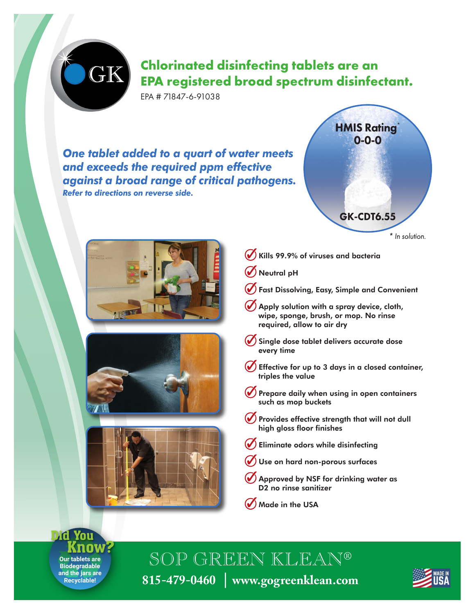## **Chlorinated disinfecting tablets are an EPA registered broad spectrum disinfectant.**

EPA # 71847-6-91038

GK

*One tablet added to a quart of water meets and exceeds the required ppm effective against a broad range of critical pathogens. Refer to directions on reverse side.*









- Kills 99.9% of viruses and bacteria  $\mathcal{O}$
- Neutral pH
- Fast Dissolving, Easy, Simple and Convenient
- Apply solution with a spray device, cloth, wipe, sponge, brush, or mop. No rinse required, allow to air dry
- $\left(\blacklozenge\right)$ Single dose tablet delivers accurate dose every time
- Effective for up to 3 days in a closed container, triples the value
- $(\blacktriangledown)$ Prepare daily when using in open containers such as mop buckets
- $\mathcal{O}$ Provides effective strength that will not dull high gloss floor finishes
- Eliminate odors while disinfecting
- Use on hard non-porous surfaces
- Approved by NSF for drinking water as D2 no rinse sanitizer
- $\bigcirc$  Made in the USA

**Our tablets are Biodegradable and the jars are Recyclable!** Did You Know?

SOP GREEN KLEAN® **815-479-0460** │ **www.gogreenklean.com**